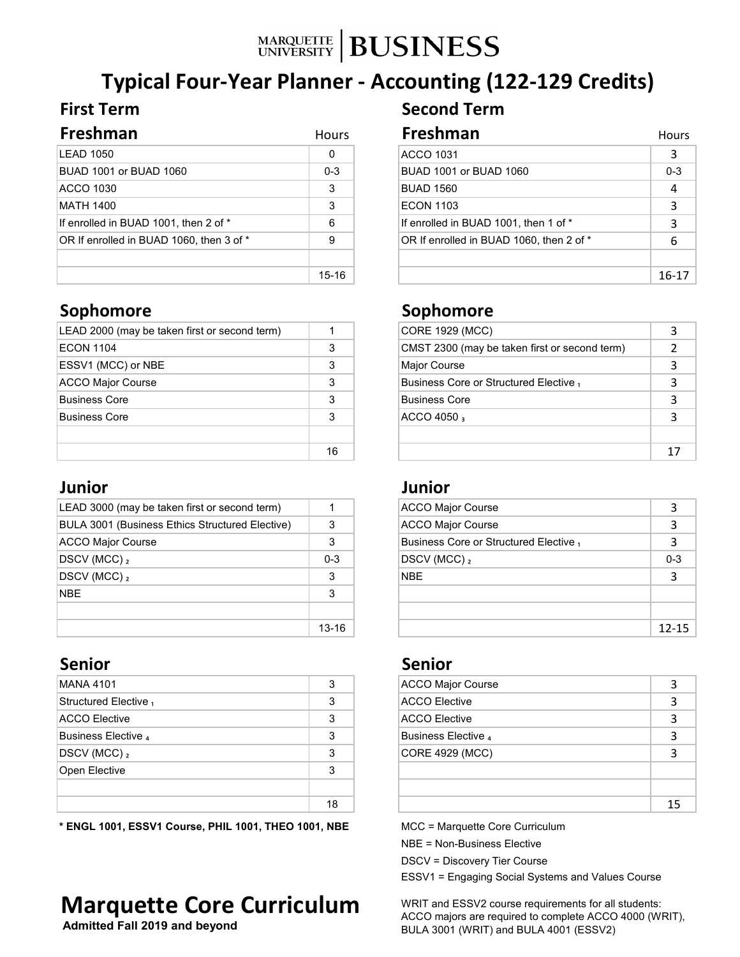# MARQUETTE **BUSINESS**

# **Typical Four-Year Planner - Accounting (122-129 Credits)**

| Freshman                                 | <b>Hours</b> | Freshman                                 | Hours   |
|------------------------------------------|--------------|------------------------------------------|---------|
| LEAD 1050                                | 0            | <b>ACCO 1031</b>                         |         |
| BUAD 1001 or BUAD 1060                   | $0 - 3$      | BUAD 1001 or BUAD 1060                   | $0 - 3$ |
| <b>ACCO 1030</b>                         | 3            | <b>BUAD 1560</b>                         |         |
| MATH 1400                                | 3            | <b>ECON 1103</b>                         |         |
| If enrolled in BUAD 1001, then 2 of *    | 6            | If enrolled in BUAD 1001, then 1 of *    |         |
| OR If enrolled in BUAD 1060, then 3 of * | 9            | OR If enrolled in BUAD 1060, then 2 of * | 6       |
|                                          |              |                                          |         |
|                                          | $15 - 16$    |                                          | $16-17$ |

| LEAD 2000 (may be taken first or second term) |    | CORE 1929 (MCC)                               |  |
|-----------------------------------------------|----|-----------------------------------------------|--|
| ECON 1104                                     | 3  | CMST 2300 (may be taken first or second term) |  |
| ESSV1 (MCC) or NBE                            | 3  | Major Course                                  |  |
| ACCO Major Course                             |    | Business Core or Structured Elective,         |  |
| Business Core                                 | 3  | Business Core                                 |  |
| <b>Business Core</b>                          | 3  | $ACCO$ 4050 $\frac{1}{3}$                     |  |
|                                               |    |                                               |  |
|                                               | 16 |                                               |  |

### **Junior Junior**

| LEAD 3000 (may be taken first or second term)   |           | <b>ACCO Major Course</b>              | 3       |
|-------------------------------------------------|-----------|---------------------------------------|---------|
| BULA 3001 (Business Ethics Structured Elective) |           | <b>ACCO Major Course</b>              | 3       |
| ACCO Major Course                               |           | Business Core or Structured Elective, | 3       |
| $ DSCV(MCC) _2$                                 | $0 - 3$   | $DSCV$ (MCC) $_2$                     | $0 - 3$ |
| $ DSCV(MCC) _2$                                 | 3         | <b>NBE</b>                            | 3       |
| <b>NBE</b>                                      | 3         |                                       |         |
|                                                 |           |                                       |         |
|                                                 | $13 - 16$ |                                       | $12-1$  |

| MANA 4101             | 3  | ACCO Major Course    |   |
|-----------------------|----|----------------------|---|
| Structured Elective 1 |    | <b>ACCO Elective</b> |   |
| ACCO Elective         | 3  | <b>ACCO Elective</b> |   |
| Business Elective 4   | 3  | Business Elective 4  |   |
| $DSCV$ (MCC) $_2$     | 3  | CORE 4929 (MCC)      |   |
| Open Elective         | 3  |                      |   |
|                       | 18 |                      | 1 |

**\* ENGL 1001, ESSV1 Course, PHIL 1001, THEO 1001, NBE**

# **Marquette Core Curriculum**

 **Admitted Fall 2019 and beyond**

## **First Term Second Term**

| 1 U U I J    | .                                        | ,,,,,,  |
|--------------|------------------------------------------|---------|
| 0            | <b>ACCO 1031</b>                         | 3       |
| $0 - 3$      | BUAD 1001 or BUAD 1060                   | $0 - 3$ |
| $\mathbf{3}$ | <b>BUAD 1560</b>                         | 4       |
| 3            | <b>ECON 1103</b>                         | 3       |
| 6            | If enrolled in BUAD 1001, then 1 of *    | 3       |
| 9            | OR If enrolled in BUAD 1060, then 2 of * | 6       |
|              |                                          |         |
| $15 - 16$    |                                          | 16-17   |

### **Sophomore Sophomore**

|    | CORE 1929 (MCC)                               |    |
|----|-----------------------------------------------|----|
| 3  | CMST 2300 (may be taken first or second term) |    |
| 3  | Major Course                                  |    |
| 3  | Business Core or Structured Elective,         | 3  |
| 3  | <b>Business Core</b>                          | 3  |
| 3  | $ACCO$ 4050 $\frac{1}{3}$                     | 3  |
|    |                                               |    |
| 16 |                                               | 1. |

|         | <b>ACCO Major Course</b>              |         |
|---------|---------------------------------------|---------|
| 3       | <b>ACCO Major Course</b>              | 3       |
| 3       | Business Core or Structured Elective, | 3       |
| $0 - 3$ | $DSCV$ (MCC) $_2$                     | $0 - 3$ |
| 3       | NBE.                                  | 3       |
| 3       |                                       |         |
|         |                                       |         |
| 13-16   |                                       | 12-15   |

### **Senior Senior**

| 3  | <b>ACCO Major Course</b> |    |
|----|--------------------------|----|
| 3  | <b>ACCO Elective</b>     |    |
| 3  | <b>ACCO Elective</b>     | 3  |
| 3  | Business Elective 4      |    |
| 3  | <b>CORE 4929 (MCC)</b>   |    |
| 3  |                          |    |
|    |                          |    |
| 18 |                          | 15 |

MCC = Marquette Core Curriculum

NBE = Non-Business Elective

DSCV = Discovery Tier Course

ESSV1 = Engaging Social Systems and Values Course

WRIT and ESSV2 course requirements for all students: ACCO majors are required to complete ACCO 4000 (WRIT), BULA 3001 (WRIT) and BULA 4001 (ESSV2)